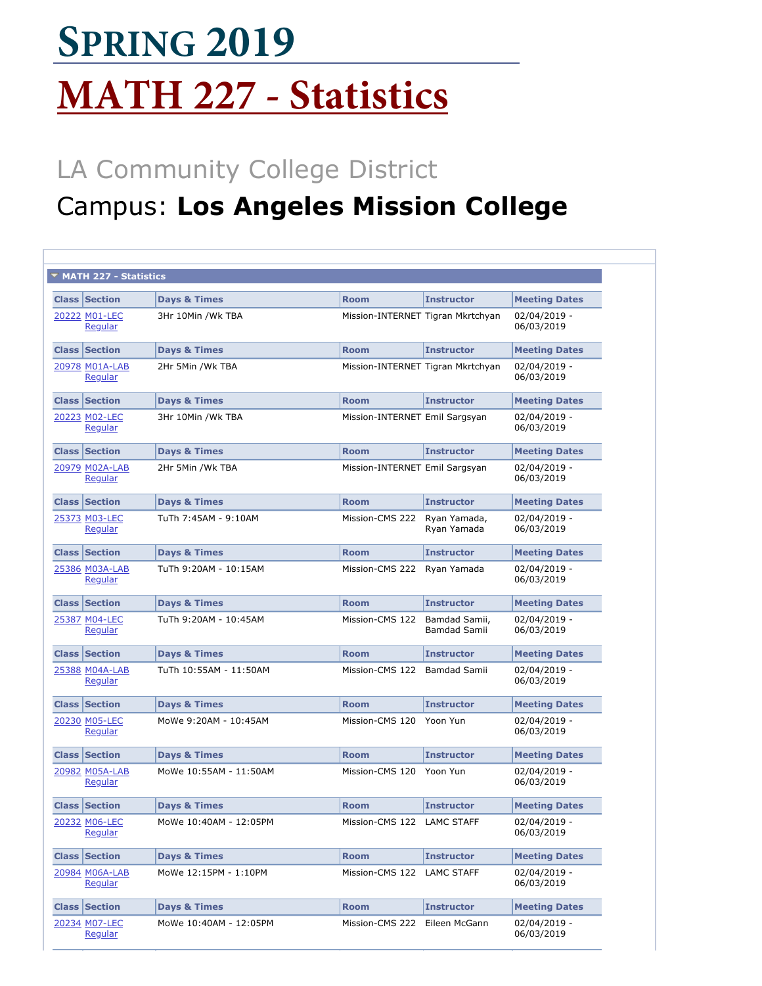## **MATH 227 - Statistics SPRING 2019**

## LA Community College District

## Campus: **Los A[ngeles Mi](javascript:submitAction_win0(document.win0,)s[sion Colle](javascript:submitAction_win0(document.win0,)ge**

| ▼ MATH 227 - Statistics   |                         |                                   |                               |                            |
|---------------------------|-------------------------|-----------------------------------|-------------------------------|----------------------------|
| <b>Class Section</b>      | <b>Days &amp; Times</b> | <b>Room</b>                       | <b>Instructor</b>             | <b>Meeting Dates</b>       |
| 20222 M01-LEC<br>Regular  | 3Hr 10Min /Wk TBA       | Mission-INTERNET Tigran Mkrtchyan |                               | 02/04/2019 -<br>06/03/2019 |
| <b>Class Section</b>      | <b>Days &amp; Times</b> | <b>Room</b>                       | <b>Instructor</b>             | <b>Meeting Dates</b>       |
| 20978 M01A-LAB<br>Regular | 2Hr 5Min /Wk TBA        | Mission-INTERNET Tigran Mkrtchyan |                               | 02/04/2019 -<br>06/03/2019 |
| <b>Class Section</b>      | <b>Days &amp; Times</b> | <b>Room</b>                       | <b>Instructor</b>             | <b>Meeting Dates</b>       |
| 20223 M02-LEC<br>Regular  | 3Hr 10Min /Wk TBA       | Mission-INTERNET Emil Sargsyan    |                               | 02/04/2019 -<br>06/03/2019 |
| <b>Class Section</b>      | <b>Days &amp; Times</b> | <b>Room</b>                       | <b>Instructor</b>             | <b>Meeting Dates</b>       |
| 20979 M02A-LAB<br>Regular | 2Hr 5Min /Wk TBA        | Mission-INTERNET Emil Sargsyan    |                               | 02/04/2019 -<br>06/03/2019 |
| <b>Class Section</b>      | <b>Days &amp; Times</b> | <b>Room</b>                       | <b>Instructor</b>             | <b>Meeting Dates</b>       |
| 25373 M03-LEC<br>Regular  | TuTh 7:45AM - 9:10AM    | Mission-CMS 222                   | Rvan Yamada,<br>Ryan Yamada   | 02/04/2019 -<br>06/03/2019 |
| <b>Class Section</b>      | <b>Days &amp; Times</b> | <b>Room</b>                       | <b>Instructor</b>             | <b>Meeting Dates</b>       |
| 25386 M03A-LAB<br>Regular | TuTh 9:20AM - 10:15AM   | Mission-CMS 222                   | Ryan Yamada                   | 02/04/2019 -<br>06/03/2019 |
| <b>Class Section</b>      | <b>Days &amp; Times</b> | <b>Room</b>                       | <b>Instructor</b>             | <b>Meeting Dates</b>       |
| 25387 M04-LEC<br>Regular  | TuTh 9:20AM - 10:45AM   | Mission-CMS 122                   | Bamdad Samii,<br>Bamdad Samii | 02/04/2019 -<br>06/03/2019 |
| <b>Class Section</b>      | <b>Days &amp; Times</b> | <b>Room</b>                       | <b>Instructor</b>             | <b>Meeting Dates</b>       |
| 25388 M04A-LAB<br>Regular | TuTh 10:55AM - 11:50AM  | Mission-CMS 122                   | <b>Bamdad Samii</b>           | 02/04/2019 -<br>06/03/2019 |
| <b>Class Section</b>      | <b>Days &amp; Times</b> | <b>Room</b>                       | <b>Instructor</b>             | <b>Meeting Dates</b>       |
| 20230 M05-LEC<br>Regular  | MoWe 9:20AM - 10:45AM   | Mission-CMS 120                   | Yoon Yun                      | 02/04/2019 -<br>06/03/2019 |
| <b>Class Section</b>      | <b>Days &amp; Times</b> | <b>Room</b>                       | <b>Instructor</b>             | <b>Meeting Dates</b>       |
| 20982 M05A-LAB<br>Regular | MoWe 10:55AM - 11:50AM  | Mission-CMS 120                   | Yoon Yun                      | 02/04/2019 -<br>06/03/2019 |
| <b>Class Section</b>      | <b>Days &amp; Times</b> | <b>Room</b>                       | <b>Instructor</b>             | <b>Meeting Dates</b>       |
| 20232 M06-LEC<br>Regular  | MoWe 10:40AM - 12:05PM  | Mission-CMS 122 LAMC STAFF        |                               | 02/04/2019 -<br>06/03/2019 |
| <b>Class Section</b>      | <b>Days &amp; Times</b> | <b>Room</b>                       | <b>Instructor</b>             | <b>Meeting Dates</b>       |
| 20984 M06A-LAB<br>Regular | MoWe 12:15PM - 1:10PM   | Mission-CMS 122                   | LAMC STAFF                    | 02/04/2019 -<br>06/03/2019 |
| <b>Class Section</b>      | <b>Days &amp; Times</b> | <b>Room</b>                       | <b>Instructor</b>             | <b>Meeting Dates</b>       |
| 20234 M07-LEC<br>Regular  | MoWe 10:40AM - 12:05PM  | Mission-CMS 222                   | Eileen McGann                 | 02/04/2019 -<br>06/03/2019 |